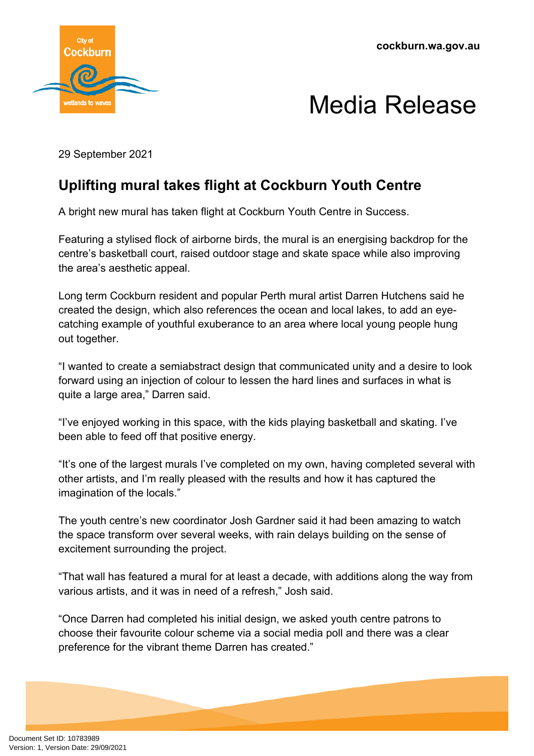

## Media Release

29 September 2021

## **Uplifting mural takes flight at Cockburn Youth Centre**

A bright new mural has taken flight at Cockburn Youth Centre in Success.

Featuring a stylised flock of airborne birds, the mural is an energising backdrop for the centre's basketball court, raised outdoor stage and skate space while also improving the area's aesthetic appeal.

Long term Cockburn resident and popular Perth mural artist Darren Hutchens said he created the design, which also references the ocean and local lakes, to add an eyecatching example of youthful exuberance to an area where local young people hung out together.

"I wanted to create a semiabstract design that communicated unity and a desire to look forward using an injection of colour to lessen the hard lines and surfaces in what is quite a large area," Darren said.

"I've enjoyed working in this space, with the kids playing basketball and skating. I've been able to feed off that positive energy.

"It's one of the largest murals I've completed on my own, having completed several with other artists, and I'm really pleased with the results and how it has captured the imagination of the locals."

The youth centre's new coordinator Josh Gardner said it had been amazing to watch the space transform over several weeks, with rain delays building on the sense of excitement surrounding the project.

"That wall has featured a mural for at least a decade, with additions along the way from various artists, and it was in need of a refresh," Josh said.

"Once Darren had completed his initial design, we asked youth centre patrons to choose their favourite colour scheme via a social media poll and there was a clear preference for the vibrant theme Darren has created."